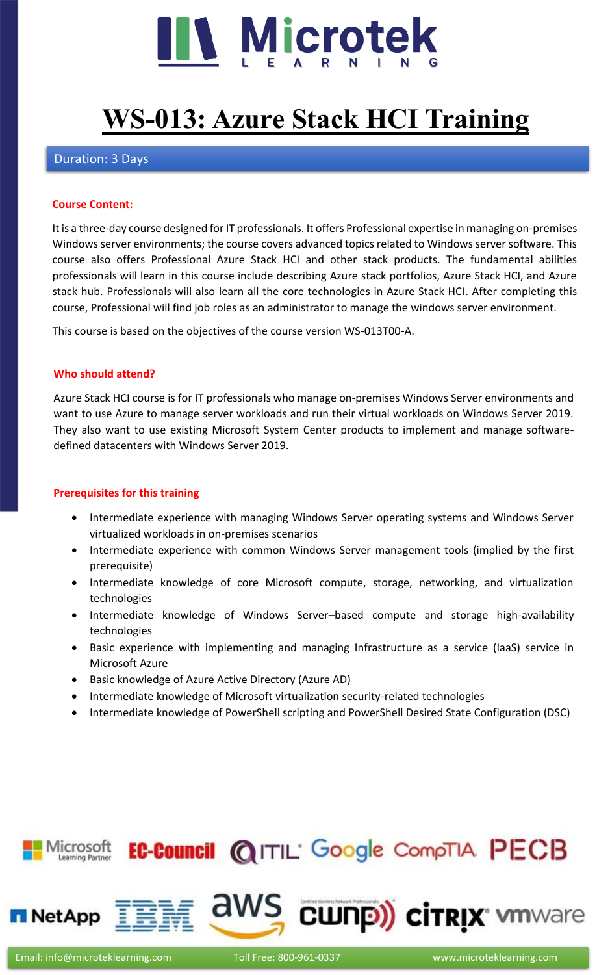

# **[WS-013: Azure Stack HCI Training](https://www.microteklearning.com/ws013-azure-stack-hci-training/)**

## Duration: 3 Days

#### **Course Content:**

It is a three-day course designed for IT professionals. It offers Professional expertise in managing on-premises Windows server environments; the course covers advanced topics related to Windows server software. This course also offers Professional Azure Stack HCI and other stack products. The fundamental abilities professionals will learn in this course include describing Azure stack portfolios, Azure Stack HCI, and Azure stack hub. Professionals will also learn all the core technologies in Azure Stack HCI. After completing this course, Professional will find job roles as an administrator to manage the windows server environment.

This course is based on the objectives of the course version WS-013T00-A.

#### **Who should attend?**

Azure Stack HCI course is for IT professionals who manage on-premises Windows Server environments and want to use Azure to manage server workloads and run their virtual workloads on Windows Server 2019. They also want to use existing Microsoft System Center products to implement and manage softwaredefined datacenters with Windows Server 2019.

## **Prerequisites for this training**

- Intermediate experience with managing Windows Server operating systems and Windows Server virtualized workloads in on-premises scenarios
- Intermediate experience with common Windows Server management tools (implied by the first prerequisite)
- Intermediate knowledge of core Microsoft compute, storage, networking, and virtualization technologies
- Intermediate knowledge of Windows Server–based compute and storage high-availability technologies
- Basic experience with implementing and managing Infrastructure as a service (IaaS) service in Microsoft Azure
- Basic knowledge of Azure Active Directory (Azure AD)
- Intermediate knowledge of Microsoft virtualization security-related technologies
- Intermediate knowledge of PowerShell scripting and PowerShell Desired State Configuration (DSC)

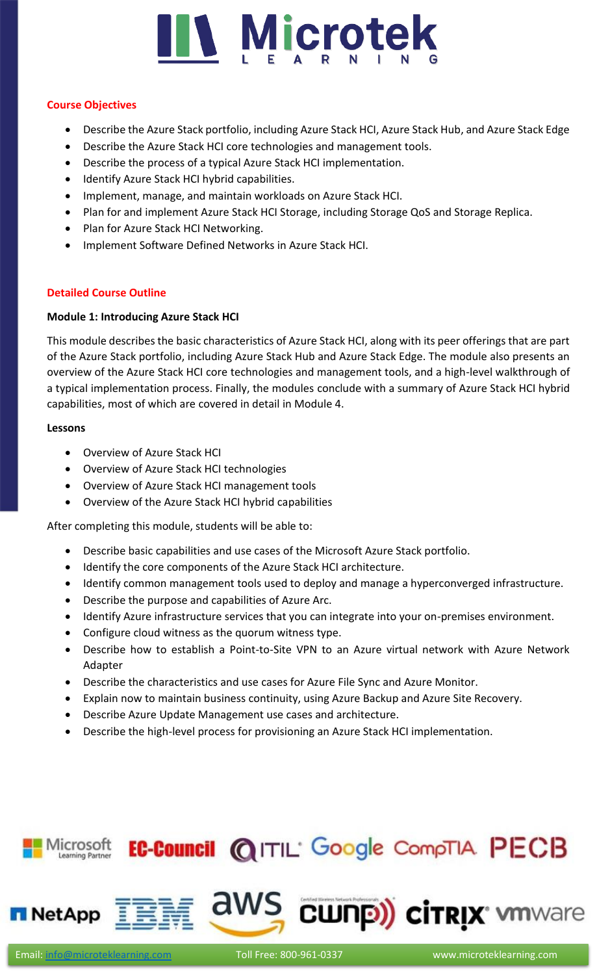

#### **Course Objectives**

- Describe the Azure Stack portfolio, including Azure Stack HCI, Azure Stack Hub, and Azure Stack Edge
- Describe the Azure Stack HCI core technologies and management tools.
- Describe the process of a typical Azure Stack HCI implementation.
- Identify Azure Stack HCI hybrid capabilities.
- Implement, manage, and maintain workloads on Azure Stack HCI.
- Plan for and implement Azure Stack HCI Storage, including Storage QoS and Storage Replica.
- Plan for Azure Stack HCI Networking.
- Implement Software Defined Networks in Azure Stack HCI.

# **Detailed Course Outline**

# **Module 1: Introducing Azure Stack HCI**

This module describes the basic characteristics of Azure Stack HCI, along with its peer offerings that are part of the Azure Stack portfolio, including Azure Stack Hub and Azure Stack Edge. The module also presents an overview of the Azure Stack HCI core technologies and management tools, and a high-level walkthrough of a typical implementation process. Finally, the modules conclude with a summary of Azure Stack HCI hybrid capabilities, most of which are covered in detail in Module 4.

#### **Lessons**

- Overview of Azure Stack HCI
- Overview of Azure Stack HCI technologies
- Overview of Azure Stack HCI management tools
- Overview of the Azure Stack HCI hybrid capabilities

After completing this module, students will be able to:

- Describe basic capabilities and use cases of the Microsoft Azure Stack portfolio.
- Identify the core components of the Azure Stack HCI architecture.
- Identify common management tools used to deploy and manage a hyperconverged infrastructure.
- Describe the purpose and capabilities of Azure Arc.
- Identify Azure infrastructure services that you can integrate into your on-premises environment.
- Configure cloud witness as the quorum witness type.
- Describe how to establish a Point-to-Site VPN to an Azure virtual network with Azure Network Adapter
- Describe the characteristics and use cases for Azure File Sync and Azure Monitor.
- Explain now to maintain business continuity, using Azure Backup and Azure Site Recovery.
- Describe Azure Update Management use cases and architecture.
- Describe the high-level process for provisioning an Azure Stack HCI implementation.

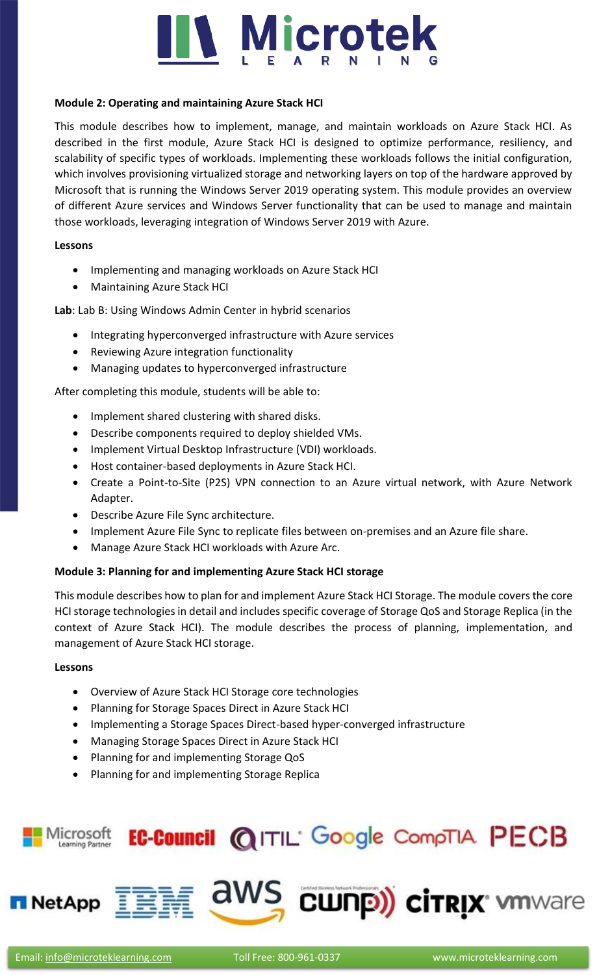# **IV Microtek**

#### **Module 2: Operating and maintaining Azure Stack HCI**

This module describes how to implement, manage, and maintain workloads on Azure Stack HCI. As described in the first module, Azure Stack HCI is designed to optimize performance, resiliency, and scalability of specific types of workloads. Implementing these workloads follows the initial configuration, which involves provisioning virtualized storage and networking layers on top of the hardware approved by Microsoft that is running the Windows Server 2019 operating system. This module provides an overview of different Azure services and Windows Server functionality that can be used to manage and maintain those workloads, leveraging integration of Windows Server 2019 with Azure.

#### **Lessons**

- Implementing and managing workloads on Azure Stack HCI
- Maintaining Azure Stack HCI

**Lab**: Lab B: Using Windows Admin Center in hybrid scenarios

- Integrating hyperconverged infrastructure with Azure services
- Reviewing Azure integration functionality
- Managing updates to hyperconverged infrastructure

After completing this module, students will be able to:

- Implement shared clustering with shared disks.
- Describe components required to deploy shielded VMs.
- Implement Virtual Desktop Infrastructure (VDI) workloads.
- Host container-based deployments in Azure Stack HCI.
- Create a Point-to-Site (P2S) VPN connection to an Azure virtual network, with Azure Network Adapter.
- Describe Azure File Sync architecture.
- Implement Azure File Sync to replicate files between on-premises and an Azure file share.
- Manage Azure Stack HCI workloads with Azure Arc.

# **Module 3: Planning for and implementing Azure Stack HCI storage**

This module describes how to plan for and implement Azure Stack HCI Storage. The module covers the core HCI storage technologies in detail and includes specific coverage of Storage QoS and Storage Replica (in the context of Azure Stack HCI). The module describes the process of planning, implementation, and management of Azure Stack HCI storage.

# **Lessons**

- Overview of Azure Stack HCI Storage core technologies
- Planning for Storage Spaces Direct in Azure Stack HCI
- Implementing a Storage Spaces Direct-based hyper-converged infrastructure
- Managing Storage Spaces Direct in Azure Stack HCI
- Planning for and implementing Storage QoS
- Planning for and implementing Storage Replica

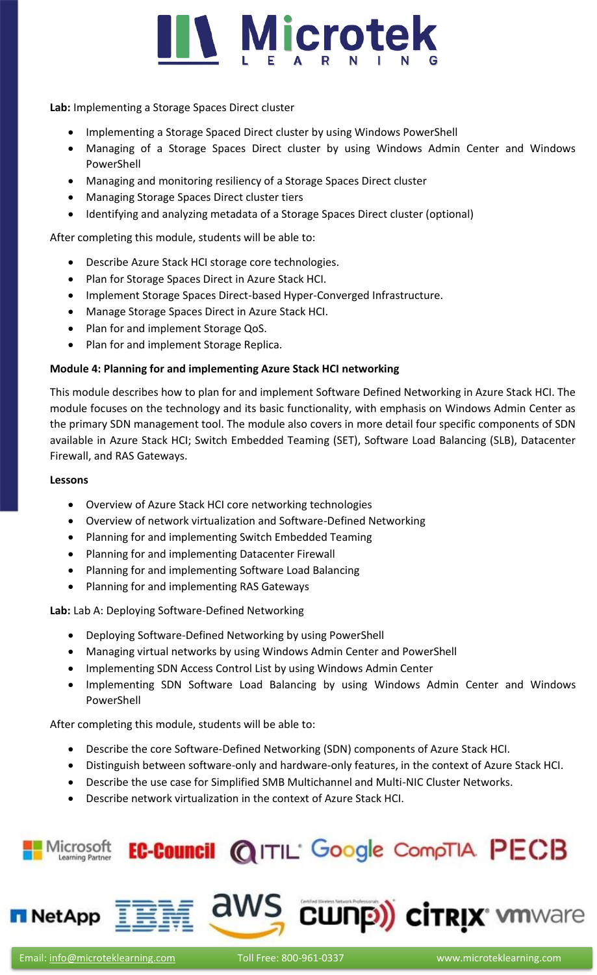

**Lab:** Implementing a Storage Spaces Direct cluster

- Implementing a Storage Spaced Direct cluster by using Windows PowerShell
- Managing of a Storage Spaces Direct cluster by using Windows Admin Center and Windows PowerShell
- Managing and monitoring resiliency of a Storage Spaces Direct cluster
- Managing Storage Spaces Direct cluster tiers
- Identifying and analyzing metadata of a Storage Spaces Direct cluster (optional)

After completing this module, students will be able to:

- Describe Azure Stack HCI storage core technologies.
- Plan for Storage Spaces Direct in Azure Stack HCI.
- Implement Storage Spaces Direct-based Hyper-Converged Infrastructure.
- Manage Storage Spaces Direct in Azure Stack HCI.
- Plan for and implement Storage QoS.
- Plan for and implement Storage Replica.

# **Module 4: Planning for and implementing Azure Stack HCI networking**

This module describes how to plan for and implement Software Defined Networking in Azure Stack HCI. The module focuses on the technology and its basic functionality, with emphasis on Windows Admin Center as the primary SDN management tool. The module also covers in more detail four specific components of SDN available in Azure Stack HCI; Switch Embedded Teaming (SET), Software Load Balancing (SLB), Datacenter Firewall, and RAS Gateways.

#### **Lessons**

- Overview of Azure Stack HCI core networking technologies
- Overview of network virtualization and Software-Defined Networking
- Planning for and implementing Switch Embedded Teaming
- Planning for and implementing Datacenter Firewall
- Planning for and implementing Software Load Balancing
- Planning for and implementing RAS Gateways

**Lab:** Lab A: Deploying Software-Defined Networking

- Deploying Software-Defined Networking by using PowerShell
- Managing virtual networks by using Windows Admin Center and PowerShell
- Implementing SDN Access Control List by using Windows Admin Center
- Implementing SDN Software Load Balancing by using Windows Admin Center and Windows PowerShell

After completing this module, students will be able to:

- Describe the core Software-Defined Networking (SDN) components of Azure Stack HCI.
- Distinguish between software-only and hardware-only features, in the context of Azure Stack HCI.
- Describe the use case for Simplified SMB Multichannel and Multi-NIC Cluster Networks.
- Describe network virtualization in the context of Azure Stack HCI.





aws cunp) cirrix when